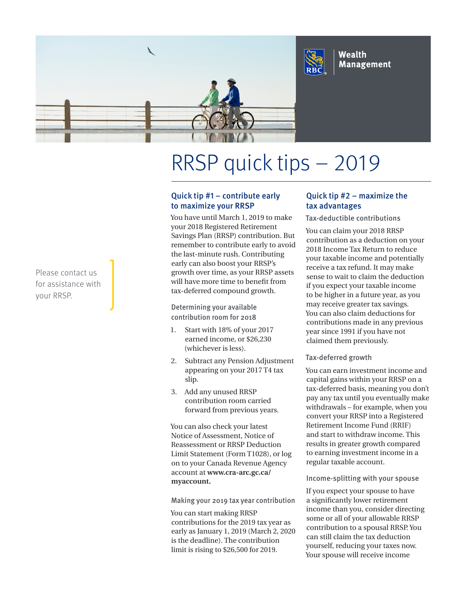

# RRSP quick tips – 2019

# Quick tip #1 – contribute early to maximize your RRSP

You have until March 1, 2019 to make your 2018 Registered Retirement Savings Plan (RRSP) contribution. But remember to contribute early to avoid the last-minute rush. Contributing early can also boost your RRSP's growth over time, as your RRSP assets will have more time to benefit from tax-deferred compound growth.

Determining your available contribution room for 2018

- 1. Start with 18% of your 2017 earned income, or \$26,230 (whichever is less).
- 2. Subtract any Pension Adjustment appearing on your 2017 T4 tax slip.
- 3. Add any unused RRSP contribution room carried forward from previous years.

You can also check your latest Notice of Assessment, Notice of Reassessment or RRSP Deduction Limit Statement (Form T1028), or log on to your Canada Revenue Agency account at **www.cra-arc.gc.ca/ myaccount.**

Making your 2019 tax year contribution

You can start making RRSP contributions for the 2019 tax year as early as January 1, 2019 (March 2, 2020 is the deadline). The contribution limit is rising to \$26,500 for 2019.

# Quick tip #2 – maximize the tax advantages

Tax-deductible contributions

You can claim your 2018 RRSP contribution as a deduction on your 2018 Income Tax Return to reduce your taxable income and potentially receive a tax refund. It may make sense to wait to claim the deduction if you expect your taxable income to be higher in a future year, as you may receive greater tax savings. You can also claim deductions for contributions made in any previous year since 1991 if you have not claimed them previously.

## Tax-deferred growth

You can earn investment income and capital gains within your RRSP on a tax-deferred basis, meaning you don't pay any tax until you eventually make withdrawals – for example, when you convert your RRSP into a Registered Retirement Income Fund (RRIF) and start to withdraw income. This results in greater growth compared to earning investment income in a regular taxable account.

#### Income-splitting with your spouse

If you expect your spouse to have a significantly lower retirement income than you, consider directing some or all of your allowable RRSP contribution to a spousal RRSP. You can still claim the tax deduction yourself, reducing your taxes now. Your spouse will receive income

Please contact us for assistance with your RRSP.